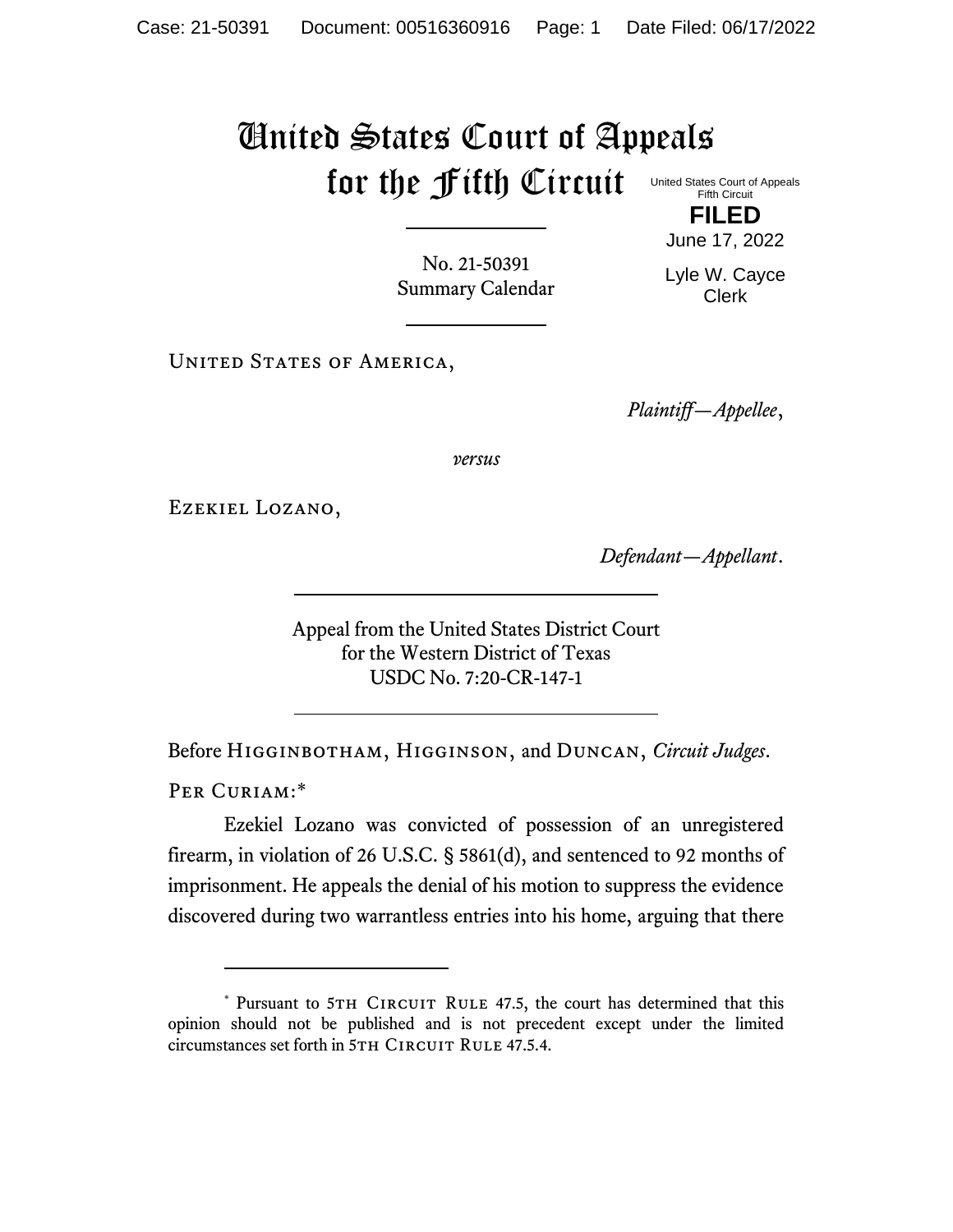## United States Court of Appeals for the Fifth Circuit United States Court of Appeals

Fifth Circuit **FILED**

June 17, 2022

No. 21-50391 Summary Calendar Lyle W. Cayce Clerk

UNITED STATES OF AMERICA,

*Plaintiff—Appellee*,

*versus*

Ezekiel Lozano,

*Defendant—Appellant*.

Appeal from the United States District Court for the Western District of Texas USDC No. 7:20-CR-147-1

Before Higginbotham, Higginson, and Duncan, *Circuit Judges*.

PER CURIAM:\*

Ezekiel Lozano was convicted of possession of an unregistered firearm, in violation of 26 U.S.C. § 5861(d), and sentenced to 92 months of imprisonment. He appeals the denial of his motion to suppress the evidence discovered during two warrantless entries into his home, arguing that there

<sup>\*</sup> Pursuant to 5TH CIRCUIT RULE 47.5, the court has determined that this opinion should not be published and is not precedent except under the limited circumstances set forth in 5TH CIRCUIT RULE 47.5.4.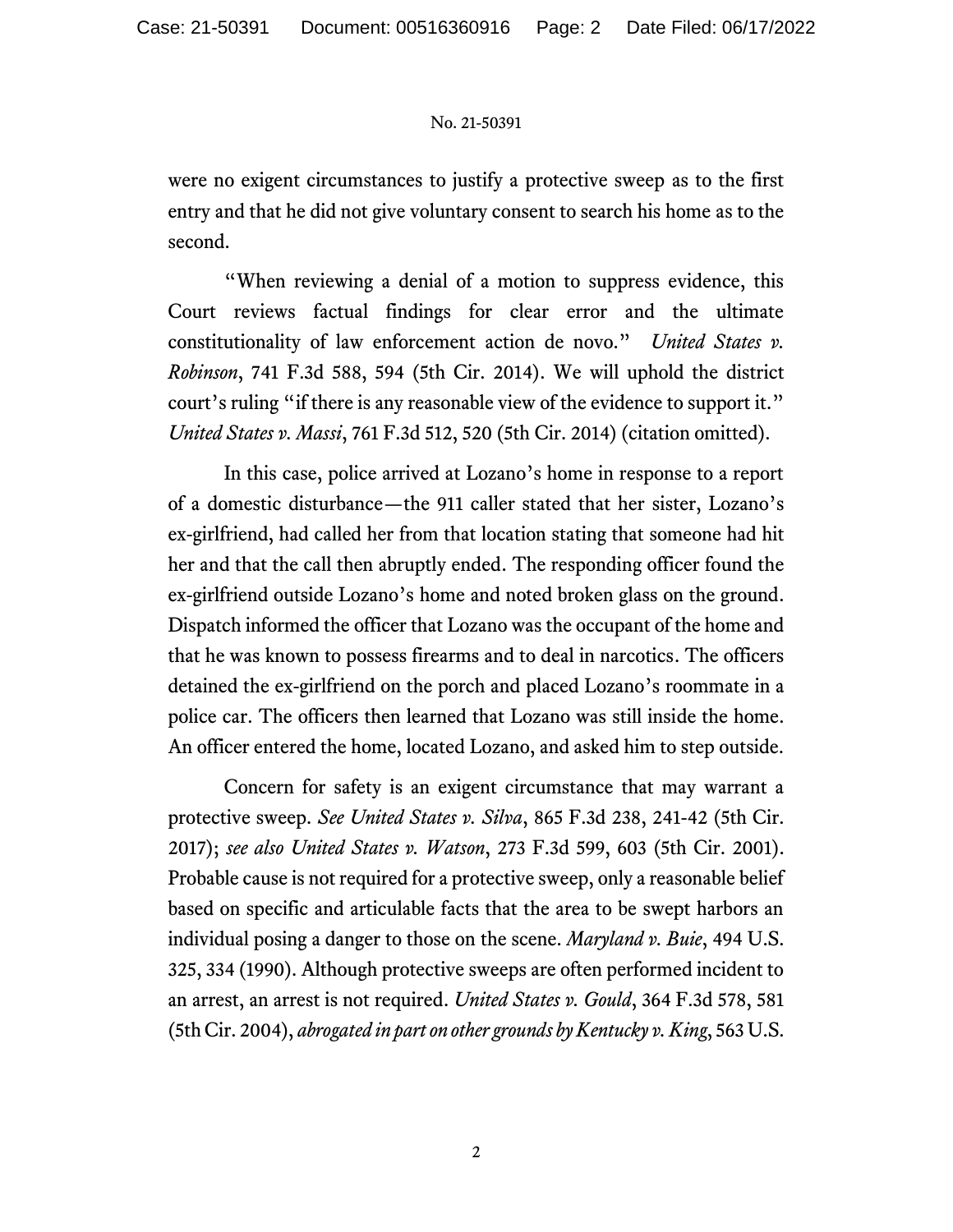## No. 21-50391

were no exigent circumstances to justify a protective sweep as to the first entry and that he did not give voluntary consent to search his home as to the second.

"When reviewing a denial of a motion to suppress evidence, this Court reviews factual findings for clear error and the ultimate constitutionality of law enforcement action de novo." *United States v. Robinson*, 741 F.3d 588, 594 (5th Cir. 2014). We will uphold the district court's ruling "if there is any reasonable view of the evidence to support it." *United States v. Massi*, 761 F.3d 512, 520 (5th Cir. 2014) (citation omitted).

In this case, police arrived at Lozano's home in response to a report of a domestic disturbance—the 911 caller stated that her sister, Lozano's ex-girlfriend, had called her from that location stating that someone had hit her and that the call then abruptly ended. The responding officer found the ex-girlfriend outside Lozano's home and noted broken glass on the ground. Dispatch informed the officer that Lozano was the occupant of the home and that he was known to possess firearms and to deal in narcotics. The officers detained the ex-girlfriend on the porch and placed Lozano's roommate in a police car. The officers then learned that Lozano was still inside the home. An officer entered the home, located Lozano, and asked him to step outside.

Concern for safety is an exigent circumstance that may warrant a protective sweep. *See United States v. Silva*, 865 F.3d 238, 241-42 (5th Cir. 2017); *see also United States v. Watson*, 273 F.3d 599, 603 (5th Cir. 2001). Probable cause is not required for a protective sweep, only a reasonable belief based on specific and articulable facts that the area to be swept harbors an individual posing a danger to those on the scene. *Maryland v. Buie*, 494 U.S. 325, 334 (1990). Although protective sweeps are often performed incident to an arrest, an arrest is not required. *United States v. Gould*, 364 F.3d 578, 581 (5th Cir. 2004), *abrogated in part on other grounds by Kentucky v. King*, 563 U.S.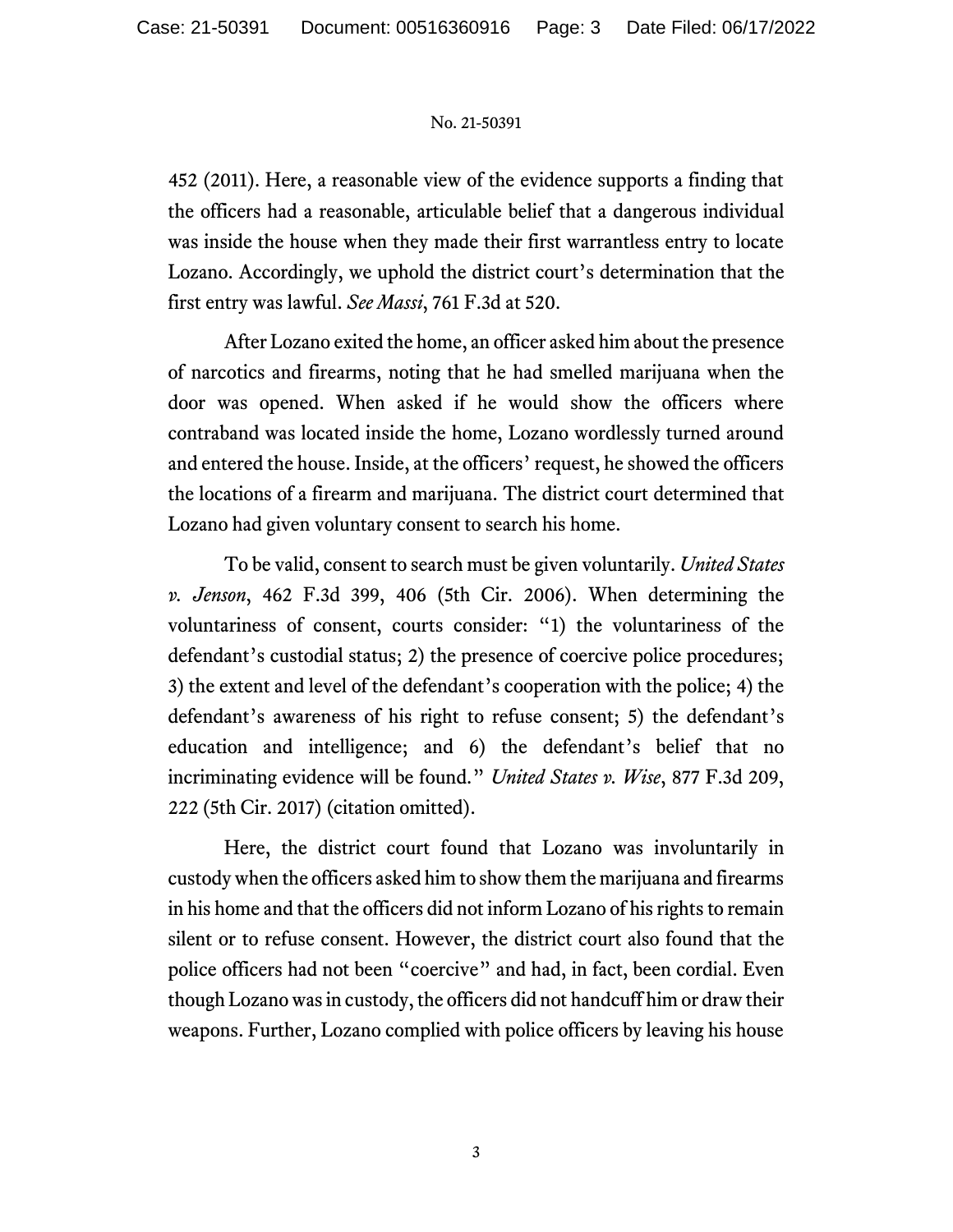## No. 21-50391

452 (2011). Here, a reasonable view of the evidence supports a finding that the officers had a reasonable, articulable belief that a dangerous individual was inside the house when they made their first warrantless entry to locate Lozano. Accordingly, we uphold the district court's determination that the first entry was lawful. *See Massi*, 761 F.3d at 520.

After Lozano exited the home, an officer asked him about the presence of narcotics and firearms, noting that he had smelled marijuana when the door was opened. When asked if he would show the officers where contraband was located inside the home, Lozano wordlessly turned around and entered the house. Inside, at the officers' request, he showed the officers the locations of a firearm and marijuana. The district court determined that Lozano had given voluntary consent to search his home.

To be valid, consent to search must be given voluntarily. *United States v. Jenson*, 462 F.3d 399, 406 (5th Cir. 2006). When determining the voluntariness of consent, courts consider: "1) the voluntariness of the defendant's custodial status; 2) the presence of coercive police procedures; 3) the extent and level of the defendant's cooperation with the police; 4) the defendant's awareness of his right to refuse consent; 5) the defendant's education and intelligence; and 6) the defendant's belief that no incriminating evidence will be found." *United States v. Wise*, 877 F.3d 209, 222 (5th Cir. 2017) (citation omitted).

Here, the district court found that Lozano was involuntarily in custody when the officers asked him to show them the marijuana and firearms in his home and that the officers did not inform Lozano of his rights to remain silent or to refuse consent. However, the district court also found that the police officers had not been "coercive" and had, in fact, been cordial. Even though Lozano was in custody, the officers did not handcuff him or draw their weapons. Further, Lozano complied with police officers by leaving his house